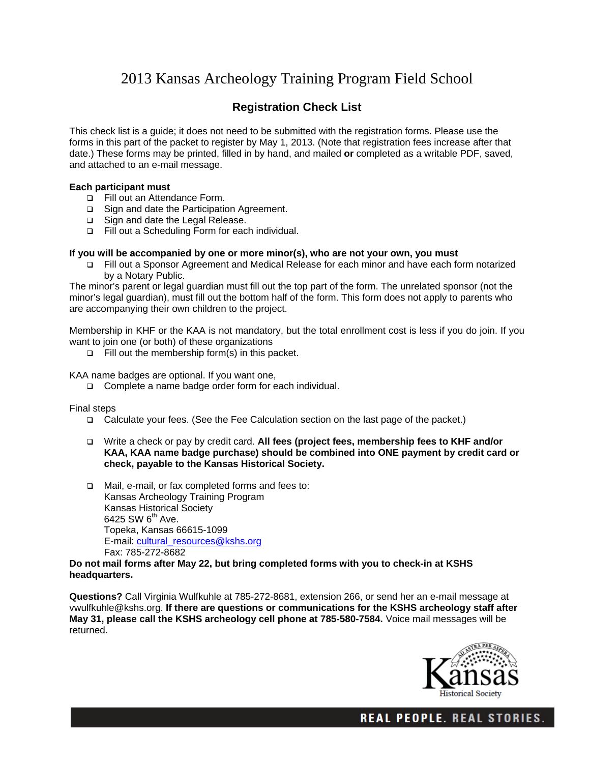# 2013 Kansas Archeology Training Program Field School

# **Registration Check List**

This check list is a guide; it does not need to be submitted with the registration forms. Please use the forms in this part of the packet to register by May 1, 2013. (Note that registration fees increase after that date.) These forms may be printed, filled in by hand, and mailed **or** completed as a writable PDF, saved, and attached to an e-mail message.

### **Each participant must**

- Fill out an Attendance Form.
- □ Sign and date the Participation Agreement.
- □ Sign and date the Legal Release.
- Fill out a Scheduling Form for each individual.

#### **If you will be accompanied by one or more minor(s), who are not your own, you must**

 Fill out a Sponsor Agreement and Medical Release for each minor and have each form notarized by a Notary Public.

The minor's parent or legal guardian must fill out the top part of the form. The unrelated sponsor (not the minor's legal guardian), must fill out the bottom half of the form. This form does not apply to parents who are accompanying their own children to the project.

Membership in KHF or the KAA is not mandatory, but the total enrollment cost is less if you do join. If you want to join one (or both) of these organizations

 $\Box$  Fill out the membership form(s) in this packet.

KAA name badges are optional. If you want one,

□ Complete a name badge order form for each individual.

Final steps

- Calculate your fees. (See the Fee Calculation section on the last page of the packet.)
- Write a check or pay by credit card. **All fees (project fees, membership fees to KHF and/or KAA, KAA name badge purchase) should be combined into ONE payment by credit card or check, payable to the Kansas Historical Society.**
- Mail, e-mail, or fax completed forms and fees to: Kansas Archeology Training Program Kansas Historical Society 6425 SW 6<sup>th</sup> Ave. Topeka, Kansas 66615-1099 E-mail: cultural\_resources@kshs.org Fax: 785-272-8682

#### **Do not mail forms after May 22, but bring completed forms with you to check-in at KSHS headquarters.**

**Questions?** Call Virginia Wulfkuhle at 785-272-8681, extension 266, or send her an e-mail message at vwulfkuhle@kshs.org. **If there are questions or communications for the KSHS archeology staff after May 31, please call the KSHS archeology cell phone at 785-580-7584.** Voice mail messages will be returned.



**REAL PEOPLE. REAL STORIES.**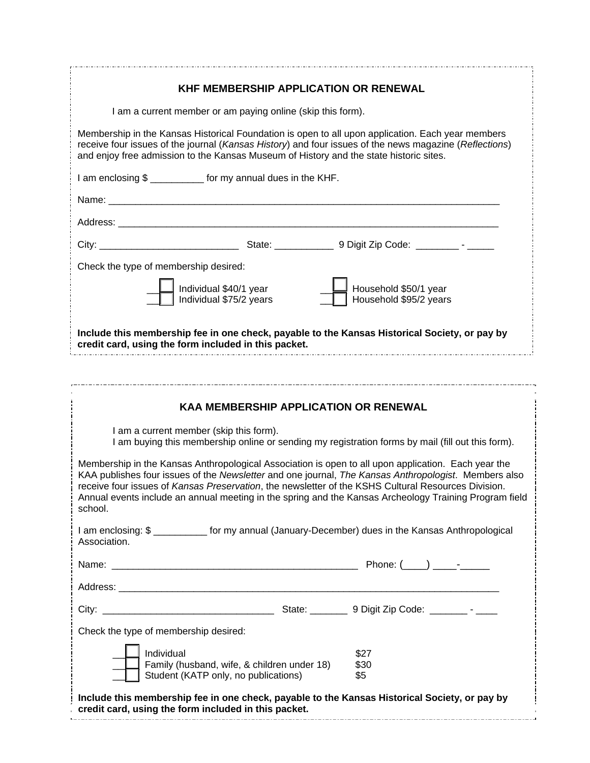| <b>KHF MEMBERSHIP APPLICATION OR RENEWAL</b>                                                                                                                                                                                                                                                                                                                                                                                            |                                                 |  |
|-----------------------------------------------------------------------------------------------------------------------------------------------------------------------------------------------------------------------------------------------------------------------------------------------------------------------------------------------------------------------------------------------------------------------------------------|-------------------------------------------------|--|
| I am a current member or am paying online (skip this form).                                                                                                                                                                                                                                                                                                                                                                             |                                                 |  |
| Membership in the Kansas Historical Foundation is open to all upon application. Each year members<br>receive four issues of the journal (Kansas History) and four issues of the news magazine (Reflections)<br>and enjoy free admission to the Kansas Museum of History and the state historic sites.                                                                                                                                   |                                                 |  |
| I am enclosing \$ ____________ for my annual dues in the KHF.                                                                                                                                                                                                                                                                                                                                                                           |                                                 |  |
|                                                                                                                                                                                                                                                                                                                                                                                                                                         |                                                 |  |
|                                                                                                                                                                                                                                                                                                                                                                                                                                         |                                                 |  |
|                                                                                                                                                                                                                                                                                                                                                                                                                                         |                                                 |  |
| Check the type of membership desired:                                                                                                                                                                                                                                                                                                                                                                                                   |                                                 |  |
| Individual \$40/1 year<br>Individual \$75/2 years                                                                                                                                                                                                                                                                                                                                                                                       | Household \$50/1 year<br>Household \$95/2 years |  |
| Include this membership fee in one check, payable to the Kansas Historical Society, or pay by<br>credit card, using the form included in this packet.                                                                                                                                                                                                                                                                                   |                                                 |  |
|                                                                                                                                                                                                                                                                                                                                                                                                                                         |                                                 |  |
|                                                                                                                                                                                                                                                                                                                                                                                                                                         |                                                 |  |
| <b>KAA MEMBERSHIP APPLICATION OR RENEWAL</b>                                                                                                                                                                                                                                                                                                                                                                                            |                                                 |  |
| I am a current member (skip this form).                                                                                                                                                                                                                                                                                                                                                                                                 |                                                 |  |
| I am buying this membership online or sending my registration forms by mail (fill out this form).                                                                                                                                                                                                                                                                                                                                       |                                                 |  |
| Membership in the Kansas Anthropological Association is open to all upon application. Each year the<br>KAA publishes four issues of the Newsletter and one journal, The Kansas Anthropologist. Members also<br>receive four issues of Kansas Preservation, the newsletter of the KSHS Cultural Resources Division.<br>Annual events include an annual meeting in the spring and the Kansas Archeology Training Program field<br>school. |                                                 |  |
| I am enclosing: \$ ____________ for my annual (January-December) dues in the Kansas Anthropological<br>Association.                                                                                                                                                                                                                                                                                                                     |                                                 |  |
|                                                                                                                                                                                                                                                                                                                                                                                                                                         |                                                 |  |
|                                                                                                                                                                                                                                                                                                                                                                                                                                         |                                                 |  |
|                                                                                                                                                                                                                                                                                                                                                                                                                                         |                                                 |  |
| Check the type of membership desired:                                                                                                                                                                                                                                                                                                                                                                                                   |                                                 |  |
| Individual                                                                                                                                                                                                                                                                                                                                                                                                                              | \$27                                            |  |
| Family (husband, wife, & children under 18)<br>Student (KATP only, no publications)                                                                                                                                                                                                                                                                                                                                                     | \$30<br>\$5                                     |  |
| Include this membership fee in one check, payable to the Kansas Historical Society, or pay by                                                                                                                                                                                                                                                                                                                                           |                                                 |  |

**credit card, using the form included in this packet.**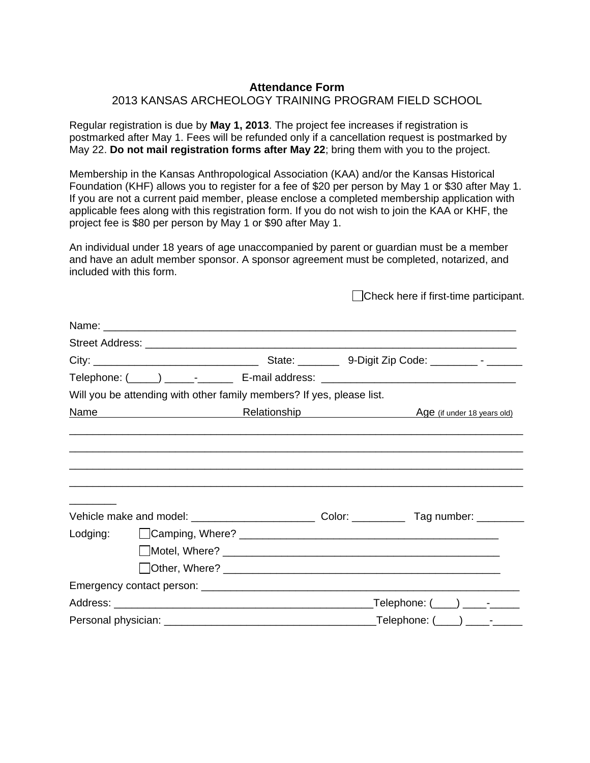## **Attendance Form**

## 2013 KANSAS ARCHEOLOGY TRAINING PROGRAM FIELD SCHOOL

Regular registration is due by **May 1, 2013**. The project fee increases if registration is postmarked after May 1. Fees will be refunded only if a cancellation request is postmarked by May 22. **Do not mail registration forms after May 22**; bring them with you to the project.

Membership in the Kansas Anthropological Association (KAA) and/or the Kansas Historical Foundation (KHF) allows you to register for a fee of \$20 per person by May 1 or \$30 after May 1. If you are not a current paid member, please enclose a completed membership application with applicable fees along with this registration form. If you do not wish to join the KAA or KHF, the project fee is \$80 per person by May 1 or \$90 after May 1.

An individual under 18 years of age unaccompanied by parent or guardian must be a member and have an adult member sponsor. A sponsor agreement must be completed, notarized, and included with this form.

Check here if first-time participant.

| Telephone: (____) ______-__________ E-mail address: _____________________________ |                                                                       |  |  |                                                 |  |
|-----------------------------------------------------------------------------------|-----------------------------------------------------------------------|--|--|-------------------------------------------------|--|
|                                                                                   | Will you be attending with other family members? If yes, please list. |  |  |                                                 |  |
| Name                                                                              |                                                                       |  |  | <b>Relationship Age (if under 18 years old)</b> |  |
|                                                                                   |                                                                       |  |  |                                                 |  |
| ___________                                                                       |                                                                       |  |  |                                                 |  |
|                                                                                   |                                                                       |  |  |                                                 |  |
|                                                                                   |                                                                       |  |  |                                                 |  |
|                                                                                   |                                                                       |  |  |                                                 |  |
|                                                                                   |                                                                       |  |  |                                                 |  |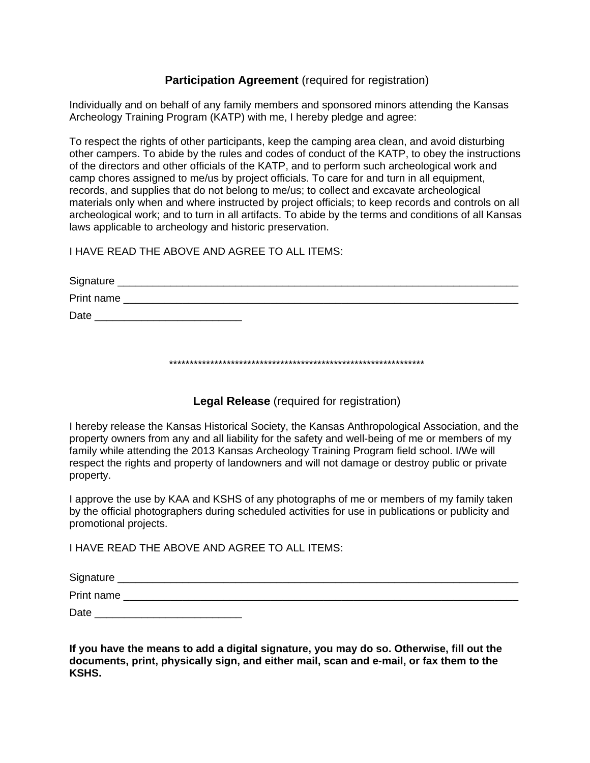# **Participation Agreement** (required for registration)

Individually and on behalf of any family members and sponsored minors attending the Kansas Archeology Training Program (KATP) with me, I hereby pledge and agree:

To respect the rights of other participants, keep the camping area clean, and avoid disturbing other campers. To abide by the rules and codes of conduct of the KATP, to obey the instructions of the directors and other officials of the KATP, and to perform such archeological work and camp chores assigned to me/us by project officials. To care for and turn in all equipment, records, and supplies that do not belong to me/us; to collect and excavate archeological materials only when and where instructed by project officials; to keep records and controls on all archeological work; and to turn in all artifacts. To abide by the terms and conditions of all Kansas laws applicable to archeology and historic preservation.

I HAVE READ THE ABOVE AND AGREE TO ALL ITEMS:

| Signature  |  |
|------------|--|
| Print name |  |
| Date       |  |

\*\*\*\*\*\*\*\*\*\*\*\*\*\*\*\*\*\*\*\*\*\*\*\*\*\*\*\*\*\*\*\*\*\*\*\*\*\*\*\*\*\*\*\*\*\*\*\*\*\*\*\*\*\*\*\*\*\*\*\*\*\*

**Legal Release** (required for registration)

I hereby release the Kansas Historical Society, the Kansas Anthropological Association, and the property owners from any and all liability for the safety and well-being of me or members of my family while attending the 2013 Kansas Archeology Training Program field school. I/We will respect the rights and property of landowners and will not damage or destroy public or private property.

I approve the use by KAA and KSHS of any photographs of me or members of my family taken by the official photographers during scheduled activities for use in publications or publicity and promotional projects.

I HAVE READ THE ABOVE AND AGREE TO ALL ITEMS:

| Signature  |  |
|------------|--|
| Print name |  |
| Date       |  |

**If you have the means to add a digital signature, you may do so. Otherwise, fill out the documents, print, physically sign, and either mail, scan and e-mail, or fax them to the KSHS.**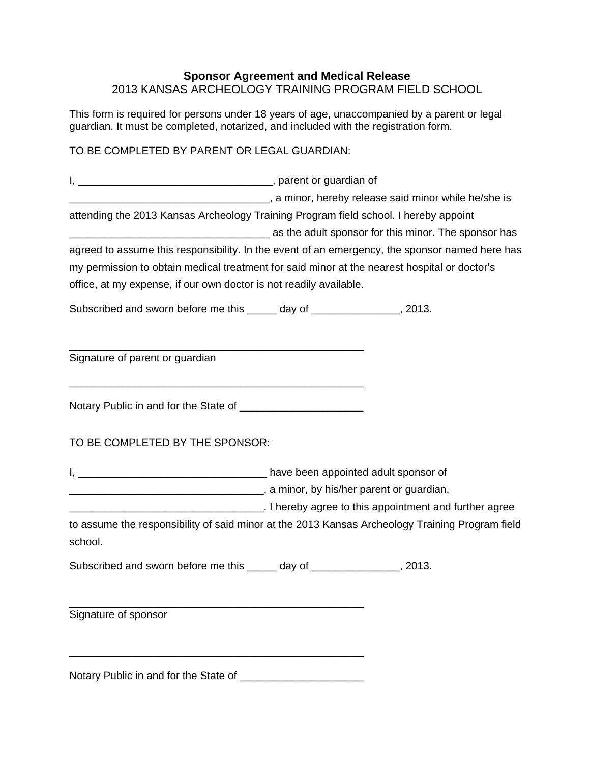# **Sponsor Agreement and Medical Release** 2013 KANSAS ARCHEOLOGY TRAINING PROGRAM FIELD SCHOOL

This form is required for persons under 18 years of age, unaccompanied by a parent or legal guardian. It must be completed, notarized, and included with the registration form.

# TO BE COMPLETED BY PARENT OR LEGAL GUARDIAN:

I, \_\_\_\_\_\_\_\_\_\_\_\_\_\_\_\_\_\_\_\_\_\_\_\_\_\_\_\_\_\_\_\_\_, parent or guardian of \_\_\_\_\_\_\_\_\_\_\_\_\_\_\_\_\_\_\_\_\_\_\_\_\_\_\_\_\_\_\_\_\_\_, a minor, hereby release said minor while he/she is attending the 2013 Kansas Archeology Training Program field school. I hereby appoint **wate the set of the set of the sponsor** for this minor. The sponsor has agreed to assume this responsibility. In the event of an emergency, the sponsor named here has my permission to obtain medical treatment for said minor at the nearest hospital or doctor's office, at my expense, if our own doctor is not readily available. Subscribed and sworn before me this day of the state of the state of the state of the state of the state of the state of the state of the state of the state of the state of the state of the state of the state of the state \_\_\_\_\_\_\_\_\_\_\_\_\_\_\_\_\_\_\_\_\_\_\_\_\_\_\_\_\_\_\_\_\_\_\_\_\_\_\_\_\_\_\_\_\_\_\_\_\_\_ Signature of parent or guardian \_\_\_\_\_\_\_\_\_\_\_\_\_\_\_\_\_\_\_\_\_\_\_\_\_\_\_\_\_\_\_\_\_\_\_\_\_\_\_\_\_\_\_\_\_\_\_\_\_\_ Notary Public in and for the State of \_\_\_\_\_\_\_\_\_\_\_\_\_\_\_\_\_\_\_\_\_ TO BE COMPLETED BY THE SPONSOR: I, \_\_\_\_\_\_\_\_\_\_\_\_\_\_\_\_\_\_\_\_\_\_\_\_\_\_\_\_\_\_\_\_ have been appointed adult sponsor of **\_\_\_\_\_\_\_\_\_\_\_\_\_\_\_\_\_\_\_\_\_\_\_\_\_\_\_\_\_\_\_\_\_\_\_**, a minor, by his/her parent or guardian, \_\_\_\_\_\_\_\_\_\_\_\_\_\_\_\_\_\_\_\_\_\_\_\_\_\_\_\_\_\_\_\_\_. I hereby agree to this appointment and further agree to assume the responsibility of said minor at the 2013 Kansas Archeology Training Program field school. Subscribed and sworn before me this \_\_\_\_\_ day of \_\_\_\_\_\_\_\_\_\_\_\_\_\_, 2013. \_\_\_\_\_\_\_\_\_\_\_\_\_\_\_\_\_\_\_\_\_\_\_\_\_\_\_\_\_\_\_\_\_\_\_\_\_\_\_\_\_\_\_\_\_\_\_\_\_\_ Signature of sponsor \_\_\_\_\_\_\_\_\_\_\_\_\_\_\_\_\_\_\_\_\_\_\_\_\_\_\_\_\_\_\_\_\_\_\_\_\_\_\_\_\_\_\_\_\_\_\_\_\_\_

Notary Public in and for the State of **Notary** Public in and for the State of